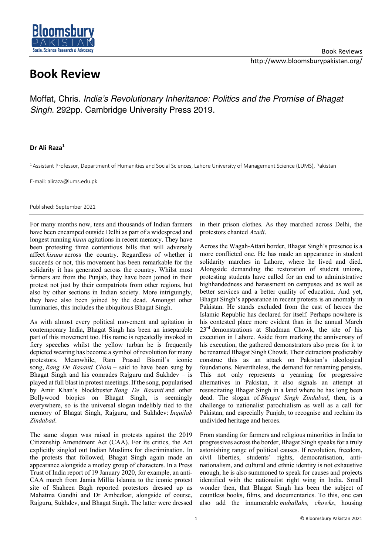## **Book Review**

ience Research & Advocac

**Bloomsb** 

Moffat, Chris. *India's Revolutionary Inheritance: Politics and the Promise of Bhagat Singh*. 292pp. Cambridge University Press 2019.

## **Dr Ali Raza1**

1 Assistant Professor, Department of Humanities and Social Sciences, Lahore University of Management Science (LUMS), Pakistan

E-mail: aliraza@lums.edu.pk

Published: September 2021

For many months now, tens and thousands of Indian farmers have been encamped outside Delhi as part of a widespread and longest running *kisan* agitations in recent memory. They have been protesting three contentious bills that will adversely affect *kisans* across the country. Regardless of whether it succeeds or not, this movement has been remarkable for the solidarity it has generated across the country. Whilst most farmers are from the Punjab, they have been joined in their protest not just by their compatriots from other regions, but also by other sections in Indian society. More intriguingly, they have also been joined by the dead. Amongst other luminaries, this includes the ubiquitous Bhagat Singh.

As with almost every political movement and agitation in contemporary India, Bhagat Singh has been an inseparable part of this movement too. His name is repeatedly invoked in fiery speeches whilst the yellow turban he is frequently depicted wearing has become a symbol of revolution for many protestors. Meanwhile, Ram Prasad Bismil's iconic song, *Rang De Basanti Chola* – said to have been sung by Bhagat Singh and his comrades Rajguru and Sukhdev  $-$  is played at full blast in protest meetings. If the song, popularised by Amir Khan's blockbuster *Rang De Basanti* and other Bollywood biopics on Bhagat Singh, is seemingly everywhere, so is the universal slogan indelibly tied to the memory of Bhagat Singh, Rajguru, and Sukhdev: *Inquilab Zindabad*.

The same slogan was raised in protests against the 2019 Citizenship Amendment Act (CAA). For its critics, the Act explicitly singled out Indian Muslims for discrimination. In the protests that followed, Bhagat Singh again made an appearance alongside a motley group of characters. In a Press Trust of India report of 19 January 2020, for example, an anti-CAA march from Jamia Millia Islamia to the iconic protest site of Shaheen Bagh reported protestors dressed up as Mahatma Gandhi and Dr Ambedkar, alongside of course, Rajguru, Sukhdev, and Bhagat Singh. The latter were dressed

in their prison clothes. As they marched across Delhi, the protestors chanted *Azadi*.

Across the Wagah-Attari border, Bhagat Singh's presence is a more conflicted one. He has made an appearance in student solidarity marches in Lahore, where he lived and died. Alongside demanding the restoration of student unions, protesting students have called for an end to administrative highhandedness and harassment on campuses and as well as better services and a better quality of education. And yet, Bhagat Singh's appearance in recent protests is an anomaly in Pakistan. He stands excluded from the cast of heroes the Islamic Republic has declared for itself. Perhaps nowhere is his contested place more evident than in the annual March 23<sup>rd</sup> demonstrations at Shadman Chowk, the site of his execution in Lahore. Aside from marking the anniversary of his execution, the gathered demonstrators also press for it to be renamed Bhagat Singh Chowk. Their detractors predictably construe this as an attack on Pakistan's ideological foundations. Nevertheless, the demand for renaming persists. This not only represents a yearning for progressive alternatives in Pakistan, it also signals an attempt at resuscitating Bhagat Singh in a land where he has long been dead. The slogan of *Bhagat Singh Zindabad*, then, is a challenge to nationalist parochialism as well as a call for Pakistan, and especially Punjab, to recognise and reclaim its undivided heritage and heroes.

From standing for farmers and religious minorities in India to progressives across the border, Bhagat Singh speaks for a truly astonishing range of political causes. If revolution, freedom, civil liberties, students' rights, democratisation, antinationalism, and cultural and ethnic identity is not exhaustive enough, he is also summoned to speak for causes and projects identified with the nationalist right wing in India. Small wonder then, that Bhagat Singh has been the subject of countless books, films, and documentaries. To this, one can also add the innumerable *muhallahs, chowks*, housing